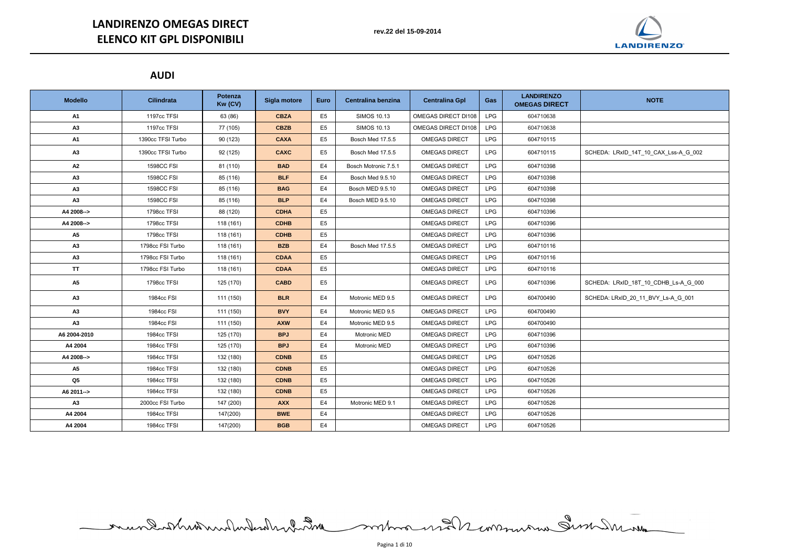## **AUDI**

| <b>Modello</b> | <b>Cilindrata</b> | Potenza<br>Kw (CV) | Sigla motore | <b>Euro</b>    | Centralina benzina   | <b>Centralina Gpl</b> | <b>Gas</b> | <b>LANDIRENZO</b><br><b>OMEGAS DIRECT</b> | <b>NOTE</b>                          |
|----------------|-------------------|--------------------|--------------|----------------|----------------------|-----------------------|------------|-------------------------------------------|--------------------------------------|
| <b>A1</b>      | 1197cc TFSI       | 63 (86)            | <b>CBZA</b>  | E <sub>5</sub> | <b>SIMOS 10.13</b>   | OMEGAS DIRECT DI108   | <b>LPG</b> | 604710638                                 |                                      |
| A3             | 1197cc TFSI       | 77 (105)           | <b>CBZB</b>  | E <sub>5</sub> | <b>SIMOS 10.13</b>   | OMEGAS DIRECT DI108   | <b>LPG</b> | 604710638                                 |                                      |
| <b>A1</b>      | 1390cc TFSI Turbo | 90 (123)           | <b>CAXA</b>  | E <sub>5</sub> | Bosch Med 17.5.5     | <b>OMEGAS DIRECT</b>  | <b>LPG</b> | 604710115                                 |                                      |
| A3             | 1390cc TFSI Turbo | 92 (125)           | <b>CAXC</b>  | E <sub>5</sub> | Bosch Med 17.5.5     | <b>OMEGAS DIRECT</b>  | <b>LPG</b> | 604710115                                 | SCHEDA: LRxID_14T_10_CAX_Lss-A_G_002 |
| A2             | <b>1598CC FSI</b> | 81 (110)           | <b>BAD</b>   | E <sub>4</sub> | Bosch Motronic 7.5.1 | <b>OMEGAS DIRECT</b>  | <b>LPG</b> | 604710398                                 |                                      |
| A3             | <b>1598CC FSI</b> | 85 (116)           | <b>BLF</b>   | E <sub>4</sub> | Bosch Med 9.5.10     | <b>OMEGAS DIRECT</b>  | <b>LPG</b> | 604710398                                 |                                      |
| A3             | <b>1598CC FSI</b> | 85 (116)           | <b>BAG</b>   | E4             | Bosch MED 9.5.10     | <b>OMEGAS DIRECT</b>  | <b>LPG</b> | 604710398                                 |                                      |
| A3             | <b>1598CC FSI</b> | 85 (116)           | <b>BLP</b>   | E4             | Bosch MED 9.5.10     | <b>OMEGAS DIRECT</b>  | <b>LPG</b> | 604710398                                 |                                      |
| A4 2008-->     | 1798cc TFSI       | 88 (120)           | <b>CDHA</b>  | E <sub>5</sub> |                      | <b>OMEGAS DIRECT</b>  | <b>LPG</b> | 604710396                                 |                                      |
| A4 2008-->     | 1798cc TFSI       | 118 (161)          | <b>CDHB</b>  | E <sub>5</sub> |                      | <b>OMEGAS DIRECT</b>  | <b>LPG</b> | 604710396                                 |                                      |
| <b>A5</b>      | 1798cc TFSI       | 118 (161)          | <b>CDHB</b>  | E <sub>5</sub> |                      | <b>OMEGAS DIRECT</b>  | <b>LPG</b> | 604710396                                 |                                      |
| A3             | 1798cc FSI Turbo  | 118 (161)          | <b>BZB</b>   | E <sub>4</sub> | Bosch Med 17.5.5     | <b>OMEGAS DIRECT</b>  | <b>LPG</b> | 604710116                                 |                                      |
| A3             | 1798cc FSI Turbo  | 118 (161)          | <b>CDAA</b>  | E <sub>5</sub> |                      | <b>OMEGAS DIRECT</b>  | <b>LPG</b> | 604710116                                 |                                      |
| <b>TT</b>      | 1798cc FSI Turbo  | 118 (161)          | <b>CDAA</b>  | E <sub>5</sub> |                      | <b>OMEGAS DIRECT</b>  | <b>LPG</b> | 604710116                                 |                                      |
| A5             | 1798cc TFSI       | 125 (170)          | <b>CABD</b>  | E5             |                      | <b>OMEGAS DIRECT</b>  | <b>LPG</b> | 604710396                                 | SCHEDA: LRxID_18T_10_CDHB_Ls-A_G_000 |
| A3             | 1984cc FSI        | 111 (150)          | <b>BLR</b>   | E4             | Motronic MED 9.5     | <b>OMEGAS DIRECT</b>  | <b>LPG</b> | 604700490                                 | SCHEDA: LRxID_20_11_BVY_Ls-A_G_001   |
| A3             | 1984cc FSI        | 111 (150)          | <b>BVY</b>   | E <sub>4</sub> | Motronic MED 9.5     | <b>OMEGAS DIRECT</b>  | <b>LPG</b> | 604700490                                 |                                      |
| A3             | 1984cc FSI        | 111 (150)          | <b>AXW</b>   | E <sub>4</sub> | Motronic MED 9.5     | <b>OMEGAS DIRECT</b>  | <b>LPG</b> | 604700490                                 |                                      |
| A6 2004-2010   | 1984cc TFSI       | 125 (170)          | <b>BPJ</b>   | E <sub>4</sub> | Motronic MED         | <b>OMEGAS DIRECT</b>  | LPG        | 604710396                                 |                                      |
| A4 2004        | 1984cc TFSI       | 125 (170)          | <b>BPJ</b>   | E <sub>4</sub> | Motronic MED         | <b>OMEGAS DIRECT</b>  | <b>LPG</b> | 604710396                                 |                                      |
| A4 2008-->     | 1984cc TFSI       | 132 (180)          | <b>CDNB</b>  | E <sub>5</sub> |                      | <b>OMEGAS DIRECT</b>  | <b>LPG</b> | 604710526                                 |                                      |
| A <sub>5</sub> | 1984cc TFSI       | 132 (180)          | <b>CDNB</b>  | E <sub>5</sub> |                      | <b>OMEGAS DIRECT</b>  | <b>LPG</b> | 604710526                                 |                                      |
| Q <sub>5</sub> | 1984cc TFSI       | 132 (180)          | <b>CDNB</b>  | E <sub>5</sub> |                      | <b>OMEGAS DIRECT</b>  | <b>LPG</b> | 604710526                                 |                                      |
| A6 2011-->     | 1984cc TFSI       | 132 (180)          | <b>CDNB</b>  | E <sub>5</sub> |                      | <b>OMEGAS DIRECT</b>  | <b>LPG</b> | 604710526                                 |                                      |
| A3             | 2000cc FSI Turbo  | 147 (200)          | <b>AXX</b>   | E <sub>4</sub> | Motronic MED 9.1     | <b>OMEGAS DIRECT</b>  | <b>LPG</b> | 604710526                                 |                                      |
| A4 2004        | 1984cc TFSI       | 147(200)           | <b>BWE</b>   | E4             |                      | <b>OMEGAS DIRECT</b>  | <b>LPG</b> | 604710526                                 |                                      |
| A4 2004        | 1984cc TFSI       | 147(200)           | <b>BGB</b>   | E <sub>4</sub> |                      | <b>OMEGAS DIRECT</b>  | <b>LPG</b> | 604710526                                 |                                      |

mundatheatermand monday and management and management

**rev.22 del 15-09-2014**

# **LANDIRENZO OMEGAS DIRECT ELENCO KIT GPL DISPONIBILI**



| <b>NOTE</b>                        |
|------------------------------------|
|                                    |
|                                    |
|                                    |
| HEDA: LRxID_14T_10_CAX_Lss-A_G_002 |
|                                    |
|                                    |
|                                    |
|                                    |
|                                    |
|                                    |
|                                    |
|                                    |
|                                    |
| HEDA: LRxID_18T_10_CDHB_Ls-A_G_000 |
| HEDA: LRxID_20_11_BVY_Ls-A_G_001   |
|                                    |
|                                    |
|                                    |
|                                    |
|                                    |
|                                    |
|                                    |
|                                    |
|                                    |
|                                    |

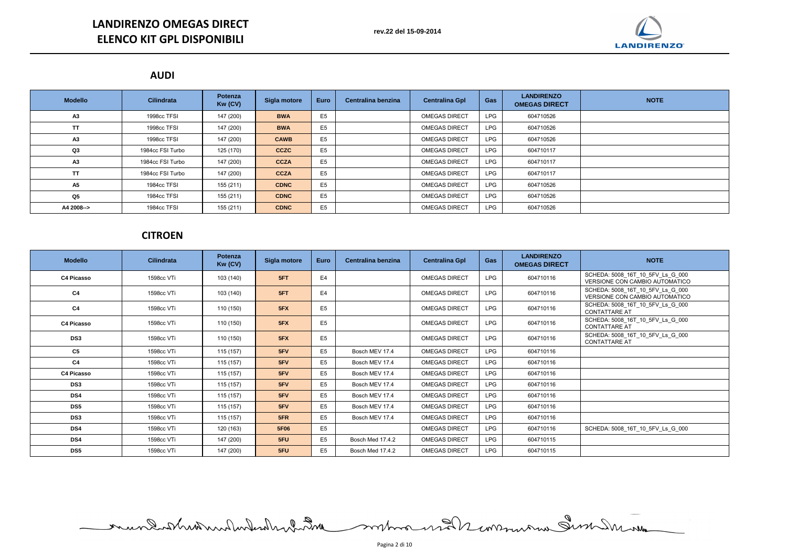# **LANDIRENZO OMEGAS DIRECT ELENCO KIT GPL DISPONIBILI**

## **AUDI**

| <b>Modello</b> | <b>Cilindrata</b> | <b>Potenza</b><br>Kw (CV) | Sigla motore | <b>Euro</b>    | Centralina benzina | <b>Centralina Gpl</b> | Gas        | <b>LANDIRENZO</b><br><b>OMEGAS DIRECT</b> | <b>NOTE</b> |
|----------------|-------------------|---------------------------|--------------|----------------|--------------------|-----------------------|------------|-------------------------------------------|-------------|
| A3             | 1998cc TFSI       | 147 (200)                 | <b>BWA</b>   | E <sub>5</sub> |                    | <b>OMEGAS DIRECT</b>  | <b>LPG</b> | 604710526                                 |             |
| <b>TT</b>      | 1998cc TFSI       | 147 (200)                 | <b>BWA</b>   | E <sub>5</sub> |                    | <b>OMEGAS DIRECT</b>  | <b>LPG</b> | 604710526                                 |             |
| A3             | 1998cc TFSI       | 147 (200)                 | <b>CAWB</b>  | E <sub>5</sub> |                    | <b>OMEGAS DIRECT</b>  | <b>LPG</b> | 604710526                                 |             |
| Q3             | 1984cc FSI Turbo  | 125 (170)                 | <b>CCZC</b>  | E <sub>5</sub> |                    | <b>OMEGAS DIRECT</b>  | <b>LPG</b> | 604710117                                 |             |
| A3             | 1984cc FSI Turbo  | 147 (200)                 | <b>CCZA</b>  | E5             |                    | <b>OMEGAS DIRECT</b>  | <b>LPG</b> | 604710117                                 |             |
| TΤ             | 1984cc FSI Turbo  | 147 (200)                 | <b>CCZA</b>  | E <sub>5</sub> |                    | <b>OMEGAS DIRECT</b>  | <b>LPG</b> | 604710117                                 |             |
| <b>A5</b>      | 1984cc TFSI       | 155 (211)                 | <b>CDNC</b>  | E <sub>5</sub> |                    | <b>OMEGAS DIRECT</b>  | <b>LPG</b> | 604710526                                 |             |
| Q <sub>5</sub> | 1984cc TFSI       | 155 (211)                 | <b>CDNC</b>  | E <sub>5</sub> |                    | <b>OMEGAS DIRECT</b>  | <b>LPG</b> | 604710526                                 |             |
| A4 2008-->     | 1984cc TFSI       | 155 (211)                 | <b>CDNC</b>  | E <sub>5</sub> |                    | <b>OMEGAS DIRECT</b>  | <b>LPG</b> | 604710526                                 |             |

# **CITROEN**

| <b>Modello</b>    | <b>Cilindrata</b> | <b>Potenza</b><br>Kw (CV) | Sigla motore | <b>Euro</b>    | Centralina benzina | <b>Centralina Gpl</b> | <b>Gas</b> | <b>LANDIRENZO</b><br><b>OMEGAS DIRECT</b> | <b>NOTE</b>                                                        |
|-------------------|-------------------|---------------------------|--------------|----------------|--------------------|-----------------------|------------|-------------------------------------------|--------------------------------------------------------------------|
| <b>C4 Picasso</b> | 1598cc VTi        | 103 (140)                 | 5FT          | E <sub>4</sub> |                    | <b>OMEGAS DIRECT</b>  | <b>LPG</b> | 604710116                                 | SCHEDA: 5008_16T_10_5FV_Ls_G_000<br>VERSIONE CON CAMBIO AUTOMATICO |
| C <sub>4</sub>    | 1598cc VTi        | 103 (140)                 | 5FT          | E <sub>4</sub> |                    | <b>OMEGAS DIRECT</b>  | <b>LPG</b> | 604710116                                 | SCHEDA: 5008_16T_10_5FV_Ls_G_000<br>VERSIONE CON CAMBIO AUTOMATICO |
| C <sub>4</sub>    | 1598cc VTi        | 110 (150)                 | 5FX          | E <sub>5</sub> |                    | <b>OMEGAS DIRECT</b>  | <b>LPG</b> | 604710116                                 | SCHEDA: 5008_16T_10_5FV_Ls_G_000<br><b>CONTATTARE AT</b>           |
| <b>C4 Picasso</b> | 1598cc VTi        | 110 (150)                 | 5FX          | E <sub>5</sub> |                    | <b>OMEGAS DIRECT</b>  | <b>LPG</b> | 604710116                                 | SCHEDA: 5008_16T_10_5FV_Ls_G_000<br><b>CONTATTARE AT</b>           |
| DS <sub>3</sub>   | 1598cc VTi        | 110 (150)                 | 5FX          | E <sub>5</sub> |                    | <b>OMEGAS DIRECT</b>  | <b>LPG</b> | 604710116                                 | SCHEDA: 5008_16T_10_5FV_Ls_G_000<br><b>CONTATTARE AT</b>           |
| C5                | 1598cc VTi        | 115 (157)                 | 5FV          | E <sub>5</sub> | Bosch MEV 17.4     | <b>OMEGAS DIRECT</b>  | <b>LPG</b> | 604710116                                 |                                                                    |
| C <sub>4</sub>    | 1598cc VTi        | 115 (157)                 | 5FV          | E <sub>5</sub> | Bosch MEV 17.4     | <b>OMEGAS DIRECT</b>  | <b>LPG</b> | 604710116                                 |                                                                    |
| <b>C4 Picasso</b> | 1598cc VTi        | 115(157)                  | 5FV          | E <sub>5</sub> | Bosch MEV 17.4     | <b>OMEGAS DIRECT</b>  | <b>LPG</b> | 604710116                                 |                                                                    |
| DS <sub>3</sub>   | 1598cc VTi        | 115(157)                  | 5FV          | E <sub>5</sub> | Bosch MEV 17.4     | <b>OMEGAS DIRECT</b>  | <b>LPG</b> | 604710116                                 |                                                                    |
| DS4               | 1598cc VTi        | 115(157)                  | 5FV          | E <sub>5</sub> | Bosch MEV 17.4     | <b>OMEGAS DIRECT</b>  | <b>LPG</b> | 604710116                                 |                                                                    |
| <b>DS5</b>        | 1598cc VTi        | 115(157)                  | 5FV          | E <sub>5</sub> | Bosch MEV 17.4     | <b>OMEGAS DIRECT</b>  | <b>LPG</b> | 604710116                                 |                                                                    |
| DS <sub>3</sub>   | 1598cc VTi        | 115 (157)                 | 5FR          | E <sub>5</sub> | Bosch MEV 17.4     | <b>OMEGAS DIRECT</b>  | <b>LPG</b> | 604710116                                 |                                                                    |
| DS4               | 1598cc VTi        | 120 (163)                 | 5F06         | E <sub>5</sub> |                    | <b>OMEGAS DIRECT</b>  | LPG        | 604710116                                 | SCHEDA: 5008 16T 10 5FV Ls G 000                                   |
| DS4               | 1598cc VTi        | 147 (200)                 | 5FU          | E <sub>5</sub> | Bosch Med 17.4.2   | <b>OMEGAS DIRECT</b>  | <b>LPG</b> | 604710115                                 |                                                                    |
| DS <sub>5</sub>   | 1598cc VTi        | 147 (200)                 | 5FU          | E <sub>5</sub> | Bosch Med 17.4.2   | <b>OMEGAS DIRECT</b>  | <b>LPG</b> | 604710115                                 |                                                                    |

montana mal somman Similar mandand hund with ward comment



| <b>NOTE</b> |
|-------------|
|             |
|             |
|             |
|             |
|             |
|             |
|             |
|             |
|             |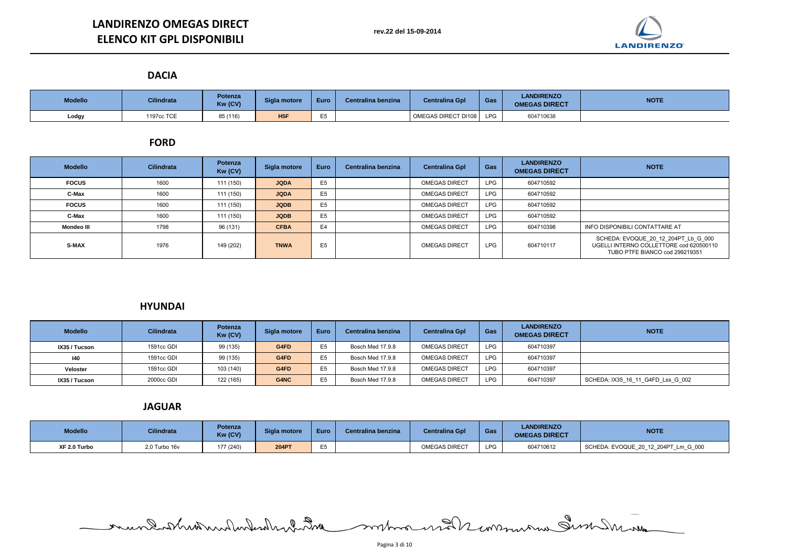### **DACIA**

| <b>Modello</b> | <b>Cilindrata</b> | <b>Potenza</b><br>Kw (CV) | Sigla motore    | <b>Euro</b> | Centralina benzina | <b>Centralina Gpl</b> | Gas        | <b>LANDIRENZO</b><br><b>OMEGAS DIRECT</b> | <b>NOTE</b> |
|----------------|-------------------|---------------------------|-----------------|-------------|--------------------|-----------------------|------------|-------------------------------------------|-------------|
| Lodgy          | 1197cc TCE        | 85 (116)                  | H <sub>5F</sub> |             |                    | OMEGAS DIRECT DI108   | <b>LPG</b> | 604710638                                 |             |

## **FORD**

| <b>Modello</b>    | <b>Cilindrata</b> | <b>Potenza</b><br>Kw (CV) | Sigla motore | <b>Euro</b>    | Centralina benzina | <b>Centralina Gpl</b> | Gas        | <b>LANDIRENZO</b><br><b>OMEGAS DIRECT</b> | <b>NOTE</b>                                                                     |
|-------------------|-------------------|---------------------------|--------------|----------------|--------------------|-----------------------|------------|-------------------------------------------|---------------------------------------------------------------------------------|
| <b>FOCUS</b>      | 1600              | 111 (150)                 | <b>JQDA</b>  | E <sub>5</sub> |                    | <b>OMEGAS DIRECT</b>  | <b>LPG</b> | 604710592                                 |                                                                                 |
| C-Max             | 1600              | 111 (150)                 | <b>JQDA</b>  | E <sub>5</sub> |                    | <b>OMEGAS DIRECT</b>  | <b>LPG</b> | 604710592                                 |                                                                                 |
| <b>FOCUS</b>      | 1600              | 111 (150)                 | <b>JQDB</b>  | E <sub>5</sub> |                    | <b>OMEGAS DIRECT</b>  | <b>LPG</b> | 604710592                                 |                                                                                 |
| C-Max             | 1600              | 111 (150)                 | <b>JQDB</b>  | E <sub>5</sub> |                    | <b>OMEGAS DIRECT</b>  | <b>LPG</b> | 604710592                                 |                                                                                 |
| <b>Mondeo III</b> | 1798              | 96 (131)                  | <b>CFBA</b>  | E <sub>4</sub> |                    | <b>OMEGAS DIRECT</b>  | <b>LPG</b> | 604710398                                 | <b>INFO DISPONIBILI CONTATTA</b>                                                |
| <b>S-MAX</b>      | 1976              | 149 (202)                 | <b>TNWA</b>  | E <sub>5</sub> |                    | <b>OMEGAS DIRECT</b>  | <b>LPG</b> | 604710117                                 | SCHEDA: EVOQUE 20 1.<br><b>UGELLI INTERNO COLLET</b><br><b>TUBO PTFE BIANCO</b> |



**IXAGOO EFFELD 122 THEDA: IX35\_16\_11\_G4FD\_Lss\_G\_002** 

## **HYUNDAI**

| <b>Modello</b> | <b>Cilindrata</b> | <b>Potenza</b><br>Kw (CV) | Sigla motore | <b>Euro</b>    | Centralina benzina | <b>Centralina Gpl</b> | Gas        | <b>LANDIRENZO</b><br><b>OMEGAS DIRECT</b> | <b>NOTE</b>              |
|----------------|-------------------|---------------------------|--------------|----------------|--------------------|-----------------------|------------|-------------------------------------------|--------------------------|
| IX35 / Tucson  | 1591cc GDI        | 99 (135)                  | G4FD         | E <sub>5</sub> | Bosch Med 17.9.8   | <b>OMEGAS DIRECT</b>  | <b>LPG</b> | 604710397                                 |                          |
| 140            | 1591cc GDI        | 99 (135)                  | G4FD         | E <sub>5</sub> | Bosch Med 17.9.8   | <b>OMEGAS DIRECT</b>  | <b>LPG</b> | 604710397                                 |                          |
| Veloster       | 1591cc GDI        | 103 (140)                 | G4FD         | E <sub>5</sub> | Bosch Med 17.9.8   | <b>OMEGAS DIRECT</b>  | <b>LPG</b> | 604710397                                 |                          |
| IX35 / Tucson  | 2000cc GDI        | 122 (165)                 | G4NC         | E <sub>5</sub> | Bosch Med 17.9.8   | <b>OMEGAS DIRECT</b>  | <b>LPG</b> | 604710397                                 | SCHEDA: IX35_16_11_G4FD_ |

## **JAGUAR**

| <b>Modello</b> | <b>Cilindrata</b> | Potenza<br>Kw (CV) | Sigla motore | <b>Euro</b> | Centralina benzina | <b>Centralina Gpl</b> | Gas        | <b>LANDIRENZO</b><br><b>OMEGAS DIRECT</b> | <b>NOTE</b>             |
|----------------|-------------------|--------------------|--------------|-------------|--------------------|-----------------------|------------|-------------------------------------------|-------------------------|
| XF 2.0 Turbo   | 2,0 Turbo 16v     | 177 (240)          | <b>204PT</b> | $ -$        |                    | OMEGAS DIRECT         | <b>LPG</b> | 604710612                                 | SCHEDA: EVOQUE_20_12_20 |

mundatheatern den der mann andere monda

**XF 2.0 Turbo** 2,0 Turbo 16v 177 (240) **204PT** E5 OMEGAS DIRECT LPG 604710612 SCHEDA: EVOQUE\_20\_12\_204PT\_Lm\_G\_000



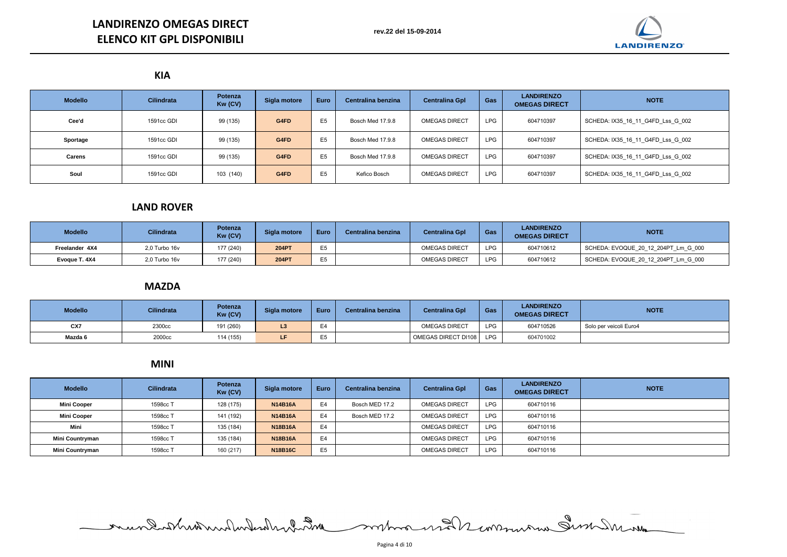# **LANDIRENZO OMEGAS DIRECT ELENCO KIT GPL DISPONIBILI**

**KIA**

| <b>Modello</b> | <b>Cilindrata</b> | <b>Potenza</b><br>Kw (CV) | Sigla motore | <b>Euro</b>    | Centralina benzina | <b>Centralina Gpl</b> | Gas        | <b>LANDIRENZO</b><br><b>OMEGAS DIRECT</b> | <b>NOTE</b>               |
|----------------|-------------------|---------------------------|--------------|----------------|--------------------|-----------------------|------------|-------------------------------------------|---------------------------|
| Cee'd          | 1591cc GDI        | 99 (135)                  | G4FD         | E <sub>5</sub> | Bosch Med 17.9.8   | <b>OMEGAS DIRECT</b>  | <b>LPG</b> | 604710397                                 | SCHEDA: IX35_16_11_G4FD_I |
| Sportage       | 1591cc GDI        | 99 (135)                  | G4FD         | E <sub>5</sub> | Bosch Med 17.9.8   | <b>OMEGAS DIRECT</b>  | <b>LPG</b> | 604710397                                 | SCHEDA: IX35_16_11_G4FD_  |
| <b>Carens</b>  | 1591cc GDI        | 99 (135)                  | G4FD         | E <sub>5</sub> | Bosch Med 17.9.8   | <b>OMEGAS DIRECT</b>  | <b>LPG</b> | 604710397                                 | SCHEDA: IX35_16_11_G4FD_I |
| Soul           | 1591cc GDI        | 103 (140)                 | G4FD         | E <sub>5</sub> | Kefico Bosch       | <b>OMEGAS DIRECT</b>  | <b>LPG</b> | 604710397                                 | SCHEDA: IX35_16_11_G4FD_I |

**Sportage** 1591cc GDI 99 (135) **G4FD** E5 Bosch Med 17.9.8 OMEGAS DIRECT LPG 604710397 SCHEDA: IX35\_16\_11\_G4FD\_Lss\_G\_002

**Carens** 1591cc GDI 99 (135) **G4FD** E5 Bosch Med 17.9.8 OMEGAS DIRECT LPG 604710397 SCHEDA: IX35\_16\_11\_G4FD\_Lss\_G\_002

**HEDA: IX35\_16\_11\_G4FD\_Lss\_G\_002**:

# **LAND ROVER**

| <b>Modello</b> | <b>Cilindrata</b>  | Potenza<br>Kw (CV) | Sigla motore | <b>Euro</b> | Centralina benzina | <b>Centralina Gpl</b> | <b>Gas</b> | <b>LANDIRENZO</b><br><b>OMEGAS DIRECT</b> | <b>NOTE</b>                         |
|----------------|--------------------|--------------------|--------------|-------------|--------------------|-----------------------|------------|-------------------------------------------|-------------------------------------|
| Freelander 4X4 | $2.0$ Turbo 16 $v$ | 177 (240)          | <b>204PT</b> |             |                    | <b>OMEGAS DIRECT</b>  | <b>LPG</b> | 604710612                                 | SCHEDA: EVOQUE 20 12 204PT Lm G 000 |
| Evoque T. 4X4  | 2,0 Turbo 16v      | 177 (240)          | <b>204PT</b> | <b>CE</b>   |                    | <b>OMEGAS DIRECT</b>  | <b>LPG</b> | 604710612                                 | SCHEDA: EVOQUE_20_12_204PT_Lm_G_000 |

## **MAZDA**

| <b>Modello</b> | <b>Cilindrata</b> | Potenza<br>Kw (CV) | Sigla motore | Euro           | Centralina benzina | <b>Centralina Gpl</b> | Gas        | <b>LANDIRENZO</b><br><b>OMEGAS DIRECT</b> | <b>NOTE</b>            |
|----------------|-------------------|--------------------|--------------|----------------|--------------------|-----------------------|------------|-------------------------------------------|------------------------|
| CX7            | 2300cc            | 191 (260)          |              | $\blacksquare$ |                    | <b>OMEGAS DIRECT</b>  | <b>LPG</b> | 604710526                                 | Solo per veicoli Euro4 |
| Mazda 6        | 2000cc            | 114 (155)          | LF           | $ -$           |                    | OMEGAS DIRECT DI108   | <b>LPG</b> | 604701002                                 |                        |

**MINI**

| <b>Modello</b>     | <b>Cilindrata</b> | <b>Potenza</b><br>Kw (CV) | Sigla motore   | <b>Euro</b>    | Centralina benzina | <b>Centralina Gpl</b> | Gas        | <b>LANDIRENZO</b><br><b>OMEGAS DIRECT</b> | <b>NOTE</b> |
|--------------------|-------------------|---------------------------|----------------|----------------|--------------------|-----------------------|------------|-------------------------------------------|-------------|
| <b>Mini Cooper</b> | 1598cc T          | 128 (175)                 | <b>N14B16A</b> | E <sub>4</sub> | Bosch MED 17.2     | <b>OMEGAS DIRECT</b>  | <b>LPG</b> | 604710116                                 |             |
| <b>Mini Cooper</b> | 1598cc T          | 141 (192)                 | <b>N14B16A</b> | E4             | Bosch MED 17.2     | <b>OMEGAS DIRECT</b>  | <b>LPG</b> | 604710116                                 |             |
| Mini               | 1598cc T          | 135 (184)                 | <b>N18B16A</b> | E <sub>4</sub> |                    | <b>OMEGAS DIRECT</b>  | <b>LPG</b> | 604710116                                 |             |
| Mini Countryman    | 1598cc T          | 135 (184)                 | <b>N18B16A</b> | E <sub>4</sub> |                    | <b>OMEGAS DIRECT</b>  | <b>LPG</b> | 604710116                                 |             |
| Mini Countryman    | 1598cc T          | 160 (217)                 | <b>N18B16C</b> | E <sub>5</sub> |                    | <b>OMEGAS DIRECT</b>  | <b>LPG</b> | 604710116                                 |             |

mundishundwichender Die mondern und Lunnung Sunder und



**HEDA: IX35\_16\_11\_G4FD\_Lss\_G\_002**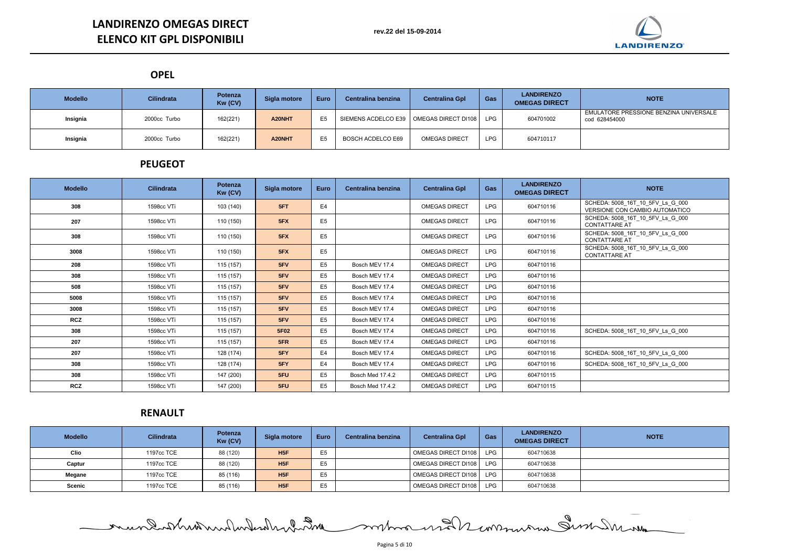**OPEL**

ULATORE PRESSIONE BENZINA UNIVERSALE cod 628454000

| <b>Modello</b> | <b>Cilindrata</b> | <b>Potenza</b><br>Kw (CV) | Sigla motore | <b>Euro</b> | Centralina benzina                        | <b>Centralina Gpl</b> | Gas        | <b>LANDIRENZO</b><br><b>OMEGAS DIRECT</b> | <b>NOTE</b>                                    |
|----------------|-------------------|---------------------------|--------------|-------------|-------------------------------------------|-----------------------|------------|-------------------------------------------|------------------------------------------------|
| Insignia       | 2000cc Turbo      | 162(221)                  | A20NHT       |             | SIEMENS ACDELCO E39   OMEGAS DIRECT DI108 |                       | <b>LPG</b> | 604701002                                 | <b>EMULATORE PRESSIONE BE</b><br>cod 628454000 |
| Insignia       | 2000cc Turbo      | 162(221)                  | A20NHT       |             | <b>BOSCH ACDELCO E69</b>                  | <b>OMEGAS DIRECT</b>  | <b>LPG</b> | 604710117                                 |                                                |

### **PEUGEOT**

| <b>Modello</b> | <b>Cilindrata</b> | <b>Potenza</b><br>Kw (CV) | Sigla motore | <b>Euro</b>    | Centralina benzina | <b>Centralina Gpl</b> | <b>Gas</b> | <b>LANDIRENZO</b><br><b>OMEGAS DIRECT</b> | <b>NOTE</b>                                                       |
|----------------|-------------------|---------------------------|--------------|----------------|--------------------|-----------------------|------------|-------------------------------------------|-------------------------------------------------------------------|
| 308            | 1598cc VTi        | 103 (140)                 | 5FT          | E <sub>4</sub> |                    | <b>OMEGAS DIRECT</b>  | <b>LPG</b> | 604710116                                 | SCHEDA: 5008_16T_10_5FV_Ls_G_000<br>VERSIONE CON CAMBIO AUTOMATIC |
| 207            | 1598cc VTi        | 110 (150)                 | 5FX          | E <sub>5</sub> |                    | <b>OMEGAS DIRECT</b>  | <b>LPG</b> | 604710116                                 | SCHEDA: 5008_16T_10_5FV_Ls_G_000<br><b>CONTATTARE AT</b>          |
| 308            | 1598cc VTi        | 110 (150)                 | 5FX          | E <sub>5</sub> |                    | <b>OMEGAS DIRECT</b>  | <b>LPG</b> | 604710116                                 | SCHEDA: 5008_16T_10_5FV_Ls_G_000<br><b>CONTATTARE AT</b>          |
| 3008           | 1598cc VTi        | 110 (150)                 | 5FX          | E <sub>5</sub> |                    | <b>OMEGAS DIRECT</b>  | <b>LPG</b> | 604710116                                 | SCHEDA: 5008_16T_10_5FV_Ls_G_000<br><b>CONTATTARE AT</b>          |
| 208            | 1598cc VTi        | 115(157)                  | 5FV          | E5             | Bosch MEV 17.4     | <b>OMEGAS DIRECT</b>  | <b>LPG</b> | 604710116                                 |                                                                   |
| 308            | 1598cc VTi        | 115 (157)                 | 5FV          | E <sub>5</sub> | Bosch MEV 17.4     | <b>OMEGAS DIRECT</b>  | <b>LPG</b> | 604710116                                 |                                                                   |
| 508            | 1598cc VTi        | 115 (157)                 | 5FV          | E <sub>5</sub> | Bosch MEV 17.4     | <b>OMEGAS DIRECT</b>  | <b>LPG</b> | 604710116                                 |                                                                   |
| 5008           | 1598cc VTi        | 115 (157)                 | 5FV          | E <sub>5</sub> | Bosch MEV 17.4     | <b>OMEGAS DIRECT</b>  | <b>LPG</b> | 604710116                                 |                                                                   |
| 3008           | 1598cc VTi        | 115 (157)                 | 5FV          | E <sub>5</sub> | Bosch MEV 17.4     | <b>OMEGAS DIRECT</b>  | <b>LPG</b> | 604710116                                 |                                                                   |
| <b>RCZ</b>     | 1598cc VTi        | 115 (157)                 | 5FV          | E <sub>5</sub> | Bosch MEV 17.4     | <b>OMEGAS DIRECT</b>  | <b>LPG</b> | 604710116                                 |                                                                   |
| 308            | 1598cc VTi        | 115 (157)                 | 5F02         | E <sub>5</sub> | Bosch MEV 17.4     | <b>OMEGAS DIRECT</b>  | <b>LPG</b> | 604710116                                 | SCHEDA: 5008_16T_10_5FV_Ls_G_000                                  |
| 207            | 1598cc VTi        | 115 (157)                 | 5FR          | E5             | Bosch MEV 17.4     | <b>OMEGAS DIRECT</b>  | <b>LPG</b> | 604710116                                 |                                                                   |
| 207            | 1598cc VTi        | 128 (174)                 | 5FY          | E4             | Bosch MEV 17.4     | <b>OMEGAS DIRECT</b>  | <b>LPG</b> | 604710116                                 | SCHEDA: 5008_16T_10_5FV_Ls_G_000                                  |
| 308            | 1598cc VTi        | 128 (174)                 | 5FY          | E <sub>4</sub> | Bosch MEV 17.4     | <b>OMEGAS DIRECT</b>  | <b>LPG</b> | 604710116                                 | SCHEDA: 5008_16T_10_5FV_Ls_G_000                                  |
| 308            | 1598cc VTi        | 147 (200)                 | 5FU          | E <sub>5</sub> | Bosch Med 17.4.2   | <b>OMEGAS DIRECT</b>  | <b>LPG</b> | 604710115                                 |                                                                   |
| <b>RCZ</b>     | 1598cc VTi        | 147 (200)                 | 5FU          | E5             | Bosch Med 17.4.2   | <b>OMEGAS DIRECT</b>  | <b>LPG</b> | 604710115                                 |                                                                   |



# **RENAULT**

| <b>Modello</b> | <b>Cilindrata</b> | <b>Potenza</b><br>Kw (CV) | Sigla motore | <b>Euro</b>    | Centralina benzina | <b>Centralina Gpl</b>      | Gas        | <b>LANDIRENZO</b><br><b>OMEGAS DIRECT</b> | <b>NOTE</b> |
|----------------|-------------------|---------------------------|--------------|----------------|--------------------|----------------------------|------------|-------------------------------------------|-------------|
| <b>Clio</b>    | 1197cc TCE        | 88 (120)                  | H5F          | E <sub>5</sub> |                    | <b>OMEGAS DIRECT DI108</b> | <b>LPG</b> | 604710638                                 |             |
| Captur         | 1197cc TCE        | 88 (120)                  | H5F          | E <sub>5</sub> |                    | OMEGAS DIRECT DI108        | <b>LPG</b> | 604710638                                 |             |
| Megane         | 1197cc TCE        | 85 (116)                  | H5F          | E <sub>5</sub> |                    | OMEGAS DIRECT DI108        | LPG        | 604710638                                 |             |
| <b>Scenic</b>  | 1197cc TCE        | 85 (116)                  | H5F          | ᄃᄃ<br>⊏ບ       |                    | OMEGAS DIRECT DI108        | <b>LPG</b> | 604710638                                 |             |

mundathedundunderden 200 montana und 12 monument der Marina

Pagina 5 di 10

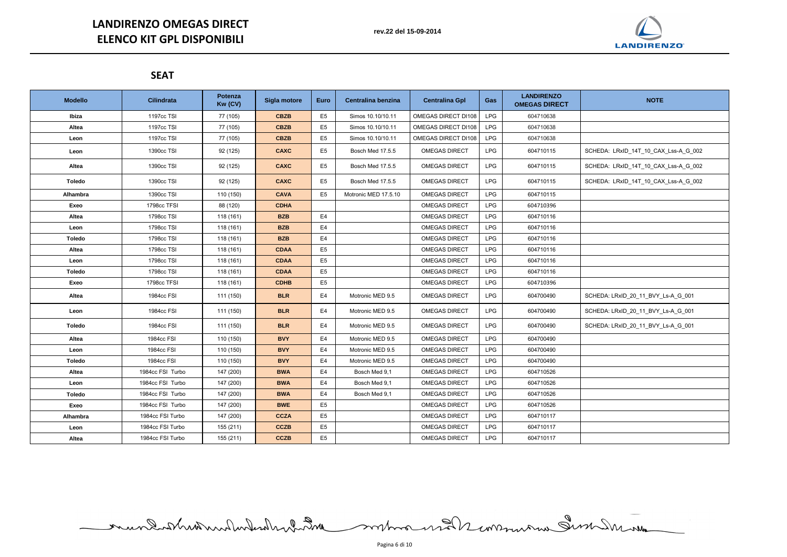## **SEAT**

| <b>Modello</b> | <b>Cilindrata</b> | Potenza<br>Kw (CV) | Sigla motore | Euro           | Centralina benzina   | <b>Centralina Gpl</b> | Gas        | <b>LANDIRENZO</b><br><b>OMEGAS DIRECT</b> | <b>NOTE</b>                          |
|----------------|-------------------|--------------------|--------------|----------------|----------------------|-----------------------|------------|-------------------------------------------|--------------------------------------|
| Ibiza          | 1197cc TSI        | 77 (105)           | <b>CBZB</b>  | E <sub>5</sub> | Simos 10.10/10.11    | OMEGAS DIRECT DI108   | <b>LPG</b> | 604710638                                 |                                      |
| Altea          | 1197cc TSI        | 77 (105)           | <b>CBZB</b>  | E <sub>5</sub> | Simos 10.10/10.11    | OMEGAS DIRECT DI108   | <b>LPG</b> | 604710638                                 |                                      |
| Leon           | 1197cc TSI        | 77 (105)           | <b>CBZB</b>  | E <sub>5</sub> | Simos 10.10/10.11    | OMEGAS DIRECT DI108   | <b>LPG</b> | 604710638                                 |                                      |
| Leon           | 1390cc TSI        | 92 (125)           | <b>CAXC</b>  | E <sub>5</sub> | Bosch Med 17.5.5     | <b>OMEGAS DIRECT</b>  | <b>LPG</b> | 604710115                                 | SCHEDA: LRxID_14T_10_CAX_Lss-A_G_002 |
| Altea          | 1390cc TSI        | 92 (125)           | <b>CAXC</b>  | E <sub>5</sub> | Bosch Med 17.5.5     | <b>OMEGAS DIRECT</b>  | <b>LPG</b> | 604710115                                 | SCHEDA: LRxID_14T_10_CAX_Lss-A_G_002 |
| <b>Toledo</b>  | 1390cc TSI        | 92 (125)           | <b>CAXC</b>  | E <sub>5</sub> | Bosch Med 17.5.5     | <b>OMEGAS DIRECT</b>  | <b>LPG</b> | 604710115                                 | SCHEDA: LRxID_14T_10_CAX_Lss-A_G_002 |
| Alhambra       | 1390cc TSI        | 110 (150)          | <b>CAVA</b>  | E <sub>5</sub> | Motronic MED 17.5.10 | <b>OMEGAS DIRECT</b>  | <b>LPG</b> | 604710115                                 |                                      |
| Exeo           | 1798cc TFSI       | 88 (120)           | <b>CDHA</b>  |                |                      | <b>OMEGAS DIRECT</b>  | <b>LPG</b> | 604710396                                 |                                      |
| Altea          | 1798cc TSI        | 118 (161)          | <b>BZB</b>   | E4             |                      | <b>OMEGAS DIRECT</b>  | <b>LPG</b> | 604710116                                 |                                      |
| Leon           | 1798cc TSI        | 118 (161)          | <b>BZB</b>   | E <sub>4</sub> |                      | <b>OMEGAS DIRECT</b>  | <b>LPG</b> | 604710116                                 |                                      |
| <b>Toledo</b>  | 1798cc TSI        | 118 (161)          | <b>BZB</b>   | E <sub>4</sub> |                      | <b>OMEGAS DIRECT</b>  | <b>LPG</b> | 604710116                                 |                                      |
| Altea          | 1798cc TSI        | 118 (161)          | <b>CDAA</b>  | E <sub>5</sub> |                      | <b>OMEGAS DIRECT</b>  | <b>LPG</b> | 604710116                                 |                                      |
| Leon           | 1798cc TSI        | 118 (161)          | <b>CDAA</b>  | E <sub>5</sub> |                      | <b>OMEGAS DIRECT</b>  | <b>LPG</b> | 604710116                                 |                                      |
| <b>Toledo</b>  | 1798cc TSI        | 118 (161)          | <b>CDAA</b>  | E <sub>5</sub> |                      | <b>OMEGAS DIRECT</b>  | <b>LPG</b> | 604710116                                 |                                      |
| Exeo           | 1798cc TFSI       | 118 (161)          | <b>CDHB</b>  | E <sub>5</sub> |                      | <b>OMEGAS DIRECT</b>  | <b>LPG</b> | 604710396                                 |                                      |
| Altea          | 1984cc FSI        | 111 (150)          | <b>BLR</b>   | E <sub>4</sub> | Motronic MED 9.5     | <b>OMEGAS DIRECT</b>  | <b>LPG</b> | 604700490                                 | SCHEDA: LRxID_20_11_BVY_Ls-A_G_001   |
| Leon           | 1984cc FSI        | 111 (150)          | <b>BLR</b>   | E4             | Motronic MED 9.5     | <b>OMEGAS DIRECT</b>  | <b>LPG</b> | 604700490                                 | SCHEDA: LRxID_20_11_BVY_Ls-A_G_001   |
| <b>Toledo</b>  | 1984cc FSI        | 111 (150)          | <b>BLR</b>   | E4             | Motronic MED 9.5     | <b>OMEGAS DIRECT</b>  | <b>LPG</b> | 604700490                                 | SCHEDA: LRxID_20_11_BVY_Ls-A_G_001   |
| Altea          | 1984cc FSI        | 110 (150)          | <b>BVY</b>   | E4             | Motronic MED 9.5     | <b>OMEGAS DIRECT</b>  | <b>LPG</b> | 604700490                                 |                                      |
| Leon           | 1984cc FSI        | 110 (150)          | <b>BVY</b>   | E <sub>4</sub> | Motronic MED 9.5     | <b>OMEGAS DIRECT</b>  | <b>LPG</b> | 604700490                                 |                                      |
| <b>Toledo</b>  | 1984cc FSI        | 110 (150)          | <b>BVY</b>   | E <sub>4</sub> | Motronic MED 9.5     | <b>OMEGAS DIRECT</b>  | <b>LPG</b> | 604700490                                 |                                      |
| Altea          | 1984cc FSI Turbo  | 147 (200)          | <b>BWA</b>   | E <sub>4</sub> | Bosch Med 9,1        | <b>OMEGAS DIRECT</b>  | <b>LPG</b> | 604710526                                 |                                      |
| Leon           | 1984cc FSI Turbo  | 147 (200)          | <b>BWA</b>   | E4             | Bosch Med 9.1        | <b>OMEGAS DIRECT</b>  | LPG        | 604710526                                 |                                      |
| Toledo         | 1984cc FSI Turbo  | 147 (200)          | <b>BWA</b>   | E4             | Bosch Med 9,1        | <b>OMEGAS DIRECT</b>  | <b>LPG</b> | 604710526                                 |                                      |
| Exeo           | 1984cc FSI Turbo  | 147 (200)          | <b>BWE</b>   | E <sub>5</sub> |                      | <b>OMEGAS DIRECT</b>  | <b>LPG</b> | 604710526                                 |                                      |
| Alhambra       | 1984cc FSI Turbo  | 147 (200)          | <b>CCZA</b>  | E <sub>5</sub> |                      | <b>OMEGAS DIRECT</b>  | <b>LPG</b> | 604710117                                 |                                      |
| Leon           | 1984cc FSI Turbo  | 155 (211)          | <b>CCZB</b>  | E <sub>5</sub> |                      | <b>OMEGAS DIRECT</b>  | <b>LPG</b> | 604710117                                 |                                      |
| Altea          | 1984cc FSI Turbo  | 155 (211)          | <b>CCZB</b>  | E <sub>5</sub> |                      | <b>OMEGAS DIRECT</b>  | LPG        | 604710117                                 |                                      |

mundatheatern dar mar man and hannous

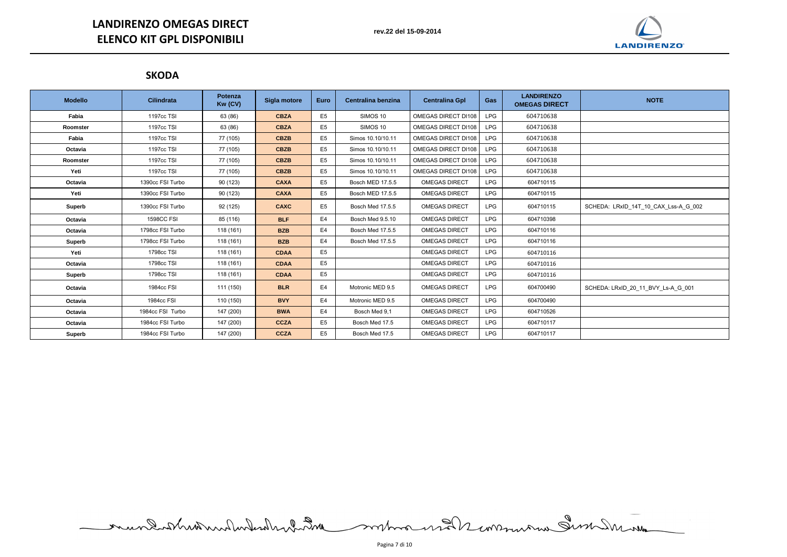# **LANDIRENZO OMEGAS DIRECT ELENCO KIT GPL DISPONIBILI**

## **SKODA**

| <b>Modello</b> | <b>Cilindrata</b> | Potenza<br>Kw (CV) | Sigla motore | <b>Euro</b>    | Centralina benzina      | <b>Centralina Gpl</b> | Gas        | <b>LANDIRENZO</b><br><b>OMEGAS DIRECT</b> | <b>NOTE</b>                          |
|----------------|-------------------|--------------------|--------------|----------------|-------------------------|-----------------------|------------|-------------------------------------------|--------------------------------------|
| Fabia          | 1197cc TSI        | 63 (86)            | <b>CBZA</b>  | E <sub>5</sub> | SIMOS 10                | OMEGAS DIRECT DI108   | <b>LPG</b> | 604710638                                 |                                      |
| Roomster       | 1197cc TSI        | 63 (86)            | <b>CBZA</b>  | E <sub>5</sub> | SIMOS 10                | OMEGAS DIRECT DI108   | <b>LPG</b> | 604710638                                 |                                      |
| Fabia          | 1197cc TSI        | 77 (105)           | <b>CBZB</b>  | E <sub>5</sub> | Simos 10.10/10.11       | OMEGAS DIRECT DI108   | <b>LPG</b> | 604710638                                 |                                      |
| Octavia        | 1197cc TSI        | 77 (105)           | <b>CBZB</b>  | E <sub>5</sub> | Simos 10.10/10.11       | OMEGAS DIRECT DI108   | <b>LPG</b> | 604710638                                 |                                      |
| Roomster       | 1197cc TSI        | 77 (105)           | <b>CBZB</b>  | E <sub>5</sub> | Simos 10.10/10.11       | OMEGAS DIRECT DI108   | <b>LPG</b> | 604710638                                 |                                      |
| Yeti           | 1197cc TSI        | 77 (105)           | <b>CBZB</b>  | E <sub>5</sub> | Simos 10.10/10.11       | OMEGAS DIRECT DI108   | <b>LPG</b> | 604710638                                 |                                      |
| Octavia        | 1390cc FSI Turbo  | 90 (123)           | <b>CAXA</b>  | E <sub>5</sub> | <b>Bosch MED 17.5.5</b> | <b>OMEGAS DIRECT</b>  | <b>LPG</b> | 604710115                                 |                                      |
| Yeti           | 1390cc FSI Turbo  | 90 (123)           | <b>CAXA</b>  | E <sub>5</sub> | <b>Bosch MED 17.5.5</b> | <b>OMEGAS DIRECT</b>  | <b>LPG</b> | 604710115                                 |                                      |
| <b>Superb</b>  | 1390cc FSI Turbo  | 92 (125)           | <b>CAXC</b>  | E <sub>5</sub> | Bosch Med 17.5.5        | <b>OMEGAS DIRECT</b>  | <b>LPG</b> | 604710115                                 | SCHEDA: LRxID_14T_10_CAX_Lss-A_G_002 |
| Octavia        | <b>1598CC FSI</b> | 85 (116)           | <b>BLF</b>   | E4             | Bosch Med 9.5.10        | <b>OMEGAS DIRECT</b>  | <b>LPG</b> | 604710398                                 |                                      |
| Octavia        | 1798cc FSI Turbo  | 118 (161)          | <b>BZB</b>   | E4             | Bosch Med 17.5.5        | <b>OMEGAS DIRECT</b>  | <b>LPG</b> | 604710116                                 |                                      |
| Superb         | 1798cc FSI Turbo  | 118 (161)          | <b>BZB</b>   | E4             | Bosch Med 17.5.5        | <b>OMEGAS DIRECT</b>  | <b>LPG</b> | 604710116                                 |                                      |
| Yeti           | 1798cc TSI        | 118 (161)          | <b>CDAA</b>  | E <sub>5</sub> |                         | <b>OMEGAS DIRECT</b>  | <b>LPG</b> | 604710116                                 |                                      |
| Octavia        | 1798cc TSI        | 118 (161)          | <b>CDAA</b>  | E <sub>5</sub> |                         | <b>OMEGAS DIRECT</b>  | <b>LPG</b> | 604710116                                 |                                      |
| <b>Superb</b>  | 1798cc TSI        | 118 (161)          | <b>CDAA</b>  | E <sub>5</sub> |                         | <b>OMEGAS DIRECT</b>  | <b>LPG</b> | 604710116                                 |                                      |
| Octavia        | 1984cc FSI        | 111 (150)          | <b>BLR</b>   | E <sub>4</sub> | Motronic MED 9.5        | <b>OMEGAS DIRECT</b>  | <b>LPG</b> | 604700490                                 | SCHEDA: LRxID_20_11_BVY_Ls-A_G_001   |
| Octavia        | 1984cc FSI        | 110 (150)          | <b>BVY</b>   | E4             | Motronic MED 9.5        | <b>OMEGAS DIRECT</b>  | <b>LPG</b> | 604700490                                 |                                      |
| Octavia        | 1984cc FSI Turbo  | 147 (200)          | <b>BWA</b>   | E4             | Bosch Med 9,1           | <b>OMEGAS DIRECT</b>  | <b>LPG</b> | 604710526                                 |                                      |
| Octavia        | 1984cc FSI Turbo  | 147 (200)          | <b>CCZA</b>  | E <sub>5</sub> | Bosch Med 17.5          | <b>OMEGAS DIRECT</b>  | <b>LPG</b> | 604710117                                 |                                      |
| Superb         | 1984cc FSI Turbo  | 147 (200)          | <b>CCZA</b>  | E <sub>5</sub> | Bosch Med 17.5          | <b>OMEGAS DIRECT</b>  | <b>LPG</b> | 604710117                                 |                                      |

mundistribution des montages et automatiques de la communication

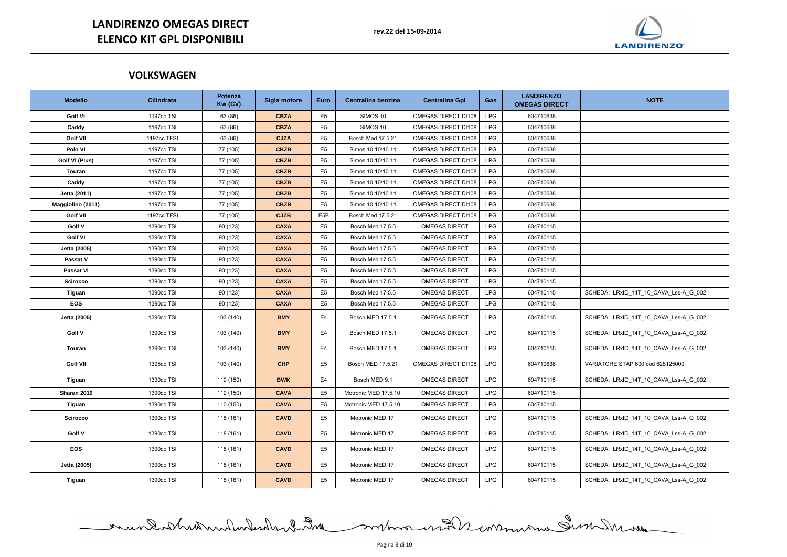## **VOLKSWAGEN**

| <b>Modello</b>    | <b>Cilindrata</b> | Potenza<br>Kw (CV) | Sigla motore | <b>Euro</b>      | Centralina benzina   | <b>Centralina Gpl</b> | Gas        | <b>LANDIRENZO</b><br><b>OMEGAS DIRECT</b> | <b>NOTE</b>                           |
|-------------------|-------------------|--------------------|--------------|------------------|----------------------|-----------------------|------------|-------------------------------------------|---------------------------------------|
| <b>Golf VI</b>    | 1197cc TSI        | 63 (86)            | <b>CBZA</b>  | E <sub>5</sub>   | SIMOS 10             | OMEGAS DIRECT DI108   | <b>LPG</b> | 604710638                                 |                                       |
| Caddy             | 1197cc TSI        | 63 (86)            | <b>CBZA</b>  | E <sub>5</sub>   | SIMOS 10             | OMEGAS DIRECT DI108   | <b>LPG</b> | 604710638                                 |                                       |
| <b>Golf VII</b>   | 1197cc TFSI       | 63 (86)            | <b>CJZA</b>  | E <sub>5</sub>   | Bosch Med 17.5.21    | OMEGAS DIRECT DI108   | <b>LPG</b> | 604710638                                 |                                       |
| Polo VI           | 1197cc TSI        | 77 (105)           | <b>CBZB</b>  | E <sub>5</sub>   | Simos 10.10/10.11    | OMEGAS DIRECT DI108   | <b>LPG</b> | 604710638                                 |                                       |
| Golf VI (Plus)    | 1197cc TSI        | 77 (105)           | <b>CBZB</b>  | E <sub>5</sub>   | Simos 10.10/10.11    | OMEGAS DIRECT DI108   | <b>LPG</b> | 604710638                                 |                                       |
| Touran            | 1197cc TSI        | 77 (105)           | <b>CBZB</b>  | E <sub>5</sub>   | Simos 10.10/10.11    | OMEGAS DIRECT DI108   | <b>LPG</b> | 604710638                                 |                                       |
| Caddy             | 1197cc TSI        | 77 (105)           | <b>CBZB</b>  | E <sub>5</sub>   | Simos 10.10/10.11    | OMEGAS DIRECT DI108   | <b>LPG</b> | 604710638                                 |                                       |
| Jetta (2011)      | 1197cc TSI        | 77 (105)           | <b>CBZB</b>  | E <sub>5</sub>   | Simos 10.10/10.11    | OMEGAS DIRECT DI108   | <b>LPG</b> | 604710638                                 |                                       |
| Maggiolino (2011) | 1197cc TSI        | 77 (105)           | <b>CBZB</b>  | E <sub>5</sub>   | Simos 10.10/10.11    | OMEGAS DIRECT DI108   | <b>LPG</b> | 604710638                                 |                                       |
| <b>Golf VII</b>   | 1197cc TFSI       | 77 (105)           | <b>CJZB</b>  | E <sub>5</sub> B | Bosch Med 17.5.21    | OMEGAS DIRECT DI108   | <b>LPG</b> | 604710638                                 |                                       |
| Golf V            | 1390cc TSI        | 90 (123)           | <b>CAXA</b>  | E <sub>5</sub>   | Bosch Med 17.5.5     | <b>OMEGAS DIRECT</b>  | <b>LPG</b> | 604710115                                 |                                       |
| <b>Golf VI</b>    | 1390cc TSI        | 90 (123)           | <b>CAXA</b>  | E <sub>5</sub>   | Bosch Med 17.5.5     | <b>OMEGAS DIRECT</b>  | <b>LPG</b> | 604710115                                 |                                       |
| Jetta (2005)      | 1390cc TSI        | 90 (123)           | <b>CAXA</b>  | E <sub>5</sub>   | Bosch Med 17.5.5     | <b>OMEGAS DIRECT</b>  | <b>LPG</b> | 604710115                                 |                                       |
| Passat V          | 1390cc TSI        | 90 (123)           | <b>CAXA</b>  | E <sub>5</sub>   | Bosch Med 17.5.5     | <b>OMEGAS DIRECT</b>  | <b>LPG</b> | 604710115                                 |                                       |
| Passat VI         | 1390cc TSI        | 90 (123)           | <b>CAXA</b>  | E <sub>5</sub>   | Bosch Med 17.5.5     | <b>OMEGAS DIRECT</b>  | <b>LPG</b> | 604710115                                 |                                       |
| <b>Scirocco</b>   | 1390cc TSI        | 90 (123)           | <b>CAXA</b>  | E <sub>5</sub>   | Bosch Med 17.5.5     | <b>OMEGAS DIRECT</b>  | <b>LPG</b> | 604710115                                 |                                       |
| Tiguan            | 1390cc TSI        | 90 (123)           | <b>CAXA</b>  | E <sub>5</sub>   | Bosch Med 17.5.5     | <b>OMEGAS DIRECT</b>  | <b>LPG</b> | 604710115                                 | SCHEDA: LRxID_14T_10_CAVA_Lss-A_G_002 |
| <b>EOS</b>        | 1390cc TSI        | 90 (123)           | <b>CAXA</b>  | E <sub>5</sub>   | Bosch Med 17.5.5     | <b>OMEGAS DIRECT</b>  | <b>LPG</b> | 604710115                                 |                                       |
| Jetta (2005)      | 1390cc TSI        | 103 (140)          | <b>BMY</b>   | E4               | Bosch MED 17.5.1     | <b>OMEGAS DIRECT</b>  | <b>LPG</b> | 604710115                                 | SCHEDA: LRxID_14T_10_CAVA_Lss-A_G_002 |
| Golf V            | 1390cc TSI        | 103 (140)          | <b>BMY</b>   | E4               | Bosch MED 17.5.1     | <b>OMEGAS DIRECT</b>  | <b>LPG</b> | 604710115                                 | SCHEDA: LRxID_14T_10_CAVA_Lss-A_G_002 |
| Touran            | 1390cc TSI        | 103 (140)          | <b>BMY</b>   | E4               | Bosch MED 17.5.1     | <b>OMEGAS DIRECT</b>  | <b>LPG</b> | 604710115                                 | SCHEDA: LRxID_14T_10_CAVA_Lss-A_G_002 |
| <b>Golf VII</b>   | 1395cc TSI        | 103 (140)          | <b>CHP</b>   | E <sub>5</sub>   | Bosch MED 17.5.21    | OMEGAS DIRECT DI108   | <b>LPG</b> | 604710638                                 | VARIATORE STAP 600 cod 628125000      |
| Tiguan            | 1390cc TSI        | 110 (150)          | <b>BWK</b>   | E4               | Bosch MED 9.1        | <b>OMEGAS DIRECT</b>  | <b>LPG</b> | 604710115                                 | SCHEDA: LRxID_14T_10_CAVA_Lss-A_G_002 |
| Sharan 2010       | 1390cc TSI        | 110 (150)          | <b>CAVA</b>  | E <sub>5</sub>   | Motronic MED 17.5.10 | <b>OMEGAS DIRECT</b>  | <b>LPG</b> | 604710115                                 |                                       |
| Tiguan            | 1390cc TSI        | 110 (150)          | <b>CAVA</b>  | E <sub>5</sub>   | Motronic MED 17.5.10 | <b>OMEGAS DIRECT</b>  | LPG        | 604710115                                 |                                       |
| <b>Scirocco</b>   | 1390cc TSI        | 118 (161)          | <b>CAVD</b>  | E <sub>5</sub>   | Motronic MED 17      | <b>OMEGAS DIRECT</b>  | <b>LPG</b> | 604710115                                 | SCHEDA: LRxID 14T 10 CAVA Lss-A G 002 |
| Golf V            | 1390cc TSI        | 118 (161)          | <b>CAVD</b>  | E <sub>5</sub>   | Motronic MED 17      | <b>OMEGAS DIRECT</b>  | <b>LPG</b> | 604710115                                 | SCHEDA: LRxID_14T_10_CAVA_Lss-A_G_002 |
| <b>EOS</b>        | 1390cc TSI        | 118 (161)          | <b>CAVD</b>  | E <sub>5</sub>   | Motronic MED 17      | <b>OMEGAS DIRECT</b>  | <b>LPG</b> | 604710115                                 | SCHEDA: LRxID_14T_10_CAVA_Lss-A_G_002 |
| Jetta (2005)      | 1390cc TSI        | 118 (161)          | <b>CAVD</b>  | E <sub>5</sub>   | Motronic MED 17      | <b>OMEGAS DIRECT</b>  | <b>LPG</b> | 604710115                                 | SCHEDA: LRxID_14T_10_CAVA_Lss-A_G_002 |
| <b>Tiguan</b>     | 1390cc TSI        | 118 (161)          | <b>CAVD</b>  | E <sub>5</sub>   | Motronic MED 17      | <b>OMEGAS DIRECT</b>  | <b>LPG</b> | 604710115                                 | SCHEDA: LRxID_14T_10_CAVA_Lss-A_G_002 |

mund when when we have more work women Inder and

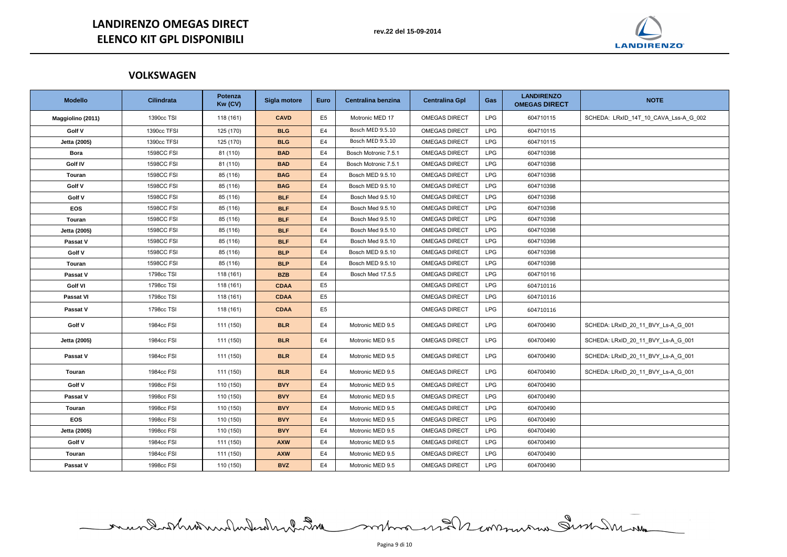## **VOLKSWAGEN**

| <b>Modello</b>    | <b>Cilindrata</b> | Potenza<br>Kw (CV) | Sigla motore | <b>Euro</b>    | Centralina benzina   | <b>Centralina Gpl</b> | Gas        | <b>LANDIRENZO</b><br><b>OMEGAS DIRECT</b> | <b>NOTE</b>                           |
|-------------------|-------------------|--------------------|--------------|----------------|----------------------|-----------------------|------------|-------------------------------------------|---------------------------------------|
| Maggiolino (2011) | 1390cc TSI        | 118 (161)          | <b>CAVD</b>  | E <sub>5</sub> | Motronic MED 17      | <b>OMEGAS DIRECT</b>  | <b>LPG</b> | 604710115                                 | SCHEDA: LRxID_14T_10_CAVA_Lss-A_G_002 |
| Golf V            | 1390cc TFSI       | 125 (170)          | <b>BLG</b>   | E <sub>4</sub> | Bosch MED 9.5.10     | <b>OMEGAS DIRECT</b>  | <b>LPG</b> | 604710115                                 |                                       |
| Jetta (2005)      | 1390cc TFSI       | 125 (170)          | <b>BLG</b>   | E4             | Bosch MED 9.5.10     | <b>OMEGAS DIRECT</b>  | <b>LPG</b> | 604710115                                 |                                       |
| <b>Bora</b>       | <b>1598CC FSI</b> | 81 (110)           | <b>BAD</b>   | E <sub>4</sub> | Bosch Motronic 7.5.1 | <b>OMEGAS DIRECT</b>  | <b>LPG</b> | 604710398                                 |                                       |
| Golf IV           | <b>1598CC FSI</b> | 81 (110)           | <b>BAD</b>   | E4             | Bosch Motronic 7.5.1 | <b>OMEGAS DIRECT</b>  | <b>LPG</b> | 604710398                                 |                                       |
| Touran            | <b>1598CC FSI</b> | 85 (116)           | <b>BAG</b>   | E <sub>4</sub> | Bosch MED 9.5.10     | <b>OMEGAS DIRECT</b>  | <b>LPG</b> | 604710398                                 |                                       |
| Golf V            | <b>1598CC FSI</b> | 85 (116)           | <b>BAG</b>   | E <sub>4</sub> | Bosch MED 9.5.10     | <b>OMEGAS DIRECT</b>  | <b>LPG</b> | 604710398                                 |                                       |
| Golf V            | <b>1598CC FSI</b> | 85 (116)           | <b>BLF</b>   | E <sub>4</sub> | Bosch Med 9.5.10     | <b>OMEGAS DIRECT</b>  | <b>LPG</b> | 604710398                                 |                                       |
| <b>EOS</b>        | <b>1598CC FSI</b> | 85 (116)           | <b>BLF</b>   | E <sub>4</sub> | Bosch Med 9.5.10     | <b>OMEGAS DIRECT</b>  | <b>LPG</b> | 604710398                                 |                                       |
| Touran            | <b>1598CC FSI</b> | 85 (116)           | <b>BLF</b>   | E4             | Bosch Med 9.5.10     | <b>OMEGAS DIRECT</b>  | <b>LPG</b> | 604710398                                 |                                       |
| Jetta (2005)      | <b>1598CC FSI</b> | 85 (116)           | <b>BLF</b>   | E <sub>4</sub> | Bosch Med 9.5.10     | <b>OMEGAS DIRECT</b>  | <b>LPG</b> | 604710398                                 |                                       |
| Passat V          | <b>1598CC FSI</b> | 85 (116)           | <b>BLF</b>   | E <sub>4</sub> | Bosch Med 9.5.10     | <b>OMEGAS DIRECT</b>  | <b>LPG</b> | 604710398                                 |                                       |
| Golf V            | <b>1598CC FSI</b> | 85 (116)           | <b>BLP</b>   | E4             | Bosch MED 9.5.10     | <b>OMEGAS DIRECT</b>  | <b>LPG</b> | 604710398                                 |                                       |
| Touran            | <b>1598CC FSI</b> | 85 (116)           | <b>BLP</b>   | E4             | Bosch MED 9.5.10     | <b>OMEGAS DIRECT</b>  | <b>LPG</b> | 604710398                                 |                                       |
| Passat V          | 1798cc TSI        | 118 (161)          | <b>BZB</b>   | E4             | Bosch Med 17.5.5     | <b>OMEGAS DIRECT</b>  | <b>LPG</b> | 604710116                                 |                                       |
| <b>Golf VI</b>    | 1798cc TSI        | 118 (161)          | <b>CDAA</b>  | E <sub>5</sub> |                      | <b>OMEGAS DIRECT</b>  | <b>LPG</b> | 604710116                                 |                                       |
| Passat VI         | 1798cc TSI        | 118 (161)          | <b>CDAA</b>  | E <sub>5</sub> |                      | <b>OMEGAS DIRECT</b>  | <b>LPG</b> | 604710116                                 |                                       |
| Passat V          | 1798cc TSI        | 118 (161)          | <b>CDAA</b>  | E <sub>5</sub> |                      | <b>OMEGAS DIRECT</b>  | <b>LPG</b> | 604710116                                 |                                       |
| Golf V            | 1984cc FSI        | 111 (150)          | <b>BLR</b>   | E4             | Motronic MED 9.5     | <b>OMEGAS DIRECT</b>  | <b>LPG</b> | 604700490                                 | SCHEDA: LRxID_20_11_BVY_Ls-A_G_001    |
| Jetta (2005)      | 1984cc FSI        | 111 (150)          | <b>BLR</b>   | E4             | Motronic MED 9.5     | <b>OMEGAS DIRECT</b>  | <b>LPG</b> | 604700490                                 | SCHEDA: LRxID_20_11_BVY_Ls-A_G_001    |
| Passat V          | 1984cc FSI        | 111 (150)          | <b>BLR</b>   | E4             | Motronic MED 9.5     | <b>OMEGAS DIRECT</b>  | <b>LPG</b> | 604700490                                 | SCHEDA: LRxID_20_11_BVY_Ls-A_G_001    |
| Touran            | 1984cc FSI        | 111 (150)          | <b>BLR</b>   | E4             | Motronic MED 9.5     | <b>OMEGAS DIRECT</b>  | <b>LPG</b> | 604700490                                 | SCHEDA: LRxID 20 11 BVY Ls-A G 001    |
| Golf V            | 1998cc FSI        | 110 (150)          | <b>BVY</b>   | E4             | Motronic MED 9.5     | <b>OMEGAS DIRECT</b>  | LPG        | 604700490                                 |                                       |
| Passat V          | 1998cc FSI        | 110 (150)          | <b>BVY</b>   | E4             | Motronic MED 9.5     | <b>OMEGAS DIRECT</b>  | <b>LPG</b> | 604700490                                 |                                       |
| Touran            | 1998cc FSI        | 110 (150)          | <b>BVY</b>   | E4             | Motronic MED 9.5     | <b>OMEGAS DIRECT</b>  | <b>LPG</b> | 604700490                                 |                                       |
| EOS               | 1998cc FSI        | 110 (150)          | <b>BVY</b>   | E4             | Motronic MED 9.5     | <b>OMEGAS DIRECT</b>  | <b>LPG</b> | 604700490                                 |                                       |
| Jetta (2005)      | 1998cc FSI        | 110 (150)          | <b>BVY</b>   | E4             | Motronic MED 9.5     | <b>OMEGAS DIRECT</b>  | <b>LPG</b> | 604700490                                 |                                       |
| Golf V            | 1984cc FSI        | 111 (150)          | <b>AXW</b>   | E4             | Motronic MED 9.5     | <b>OMEGAS DIRECT</b>  | <b>LPG</b> | 604700490                                 |                                       |
| Touran            | 1984cc FSI        | 111 (150)          | <b>AXW</b>   | E4             | Motronic MED 9.5     | <b>OMEGAS DIRECT</b>  | <b>LPG</b> | 604700490                                 |                                       |
| Passat V          | 1998cc FSI        | 110 (150)          | <b>BVZ</b>   | E4             | Motronic MED 9.5     | <b>OMEGAS DIRECT</b>  | LPG        | 604700490                                 |                                       |

mundished molumber des montes en la communication



| <b>NOTE</b>                         |
|-------------------------------------|
| IEDA: LRxID_14T_10_CAVA_Lss-A_G_002 |
|                                     |
|                                     |
|                                     |
|                                     |
|                                     |
|                                     |
|                                     |
|                                     |
|                                     |
|                                     |
|                                     |
|                                     |
|                                     |
|                                     |
|                                     |
| IEDA: LRxID_20_11_BVY_Ls-A_G_001    |
| IEDA: LRxID_20_11_BVY_Ls-A_G_001    |
| IEDA: LRxID_20_11_BVY_Ls-A_G_001    |
| IEDA: LRxID_20_11_BVY_Ls-A_G_001    |
|                                     |
|                                     |
|                                     |
|                                     |
|                                     |
|                                     |
|                                     |
|                                     |